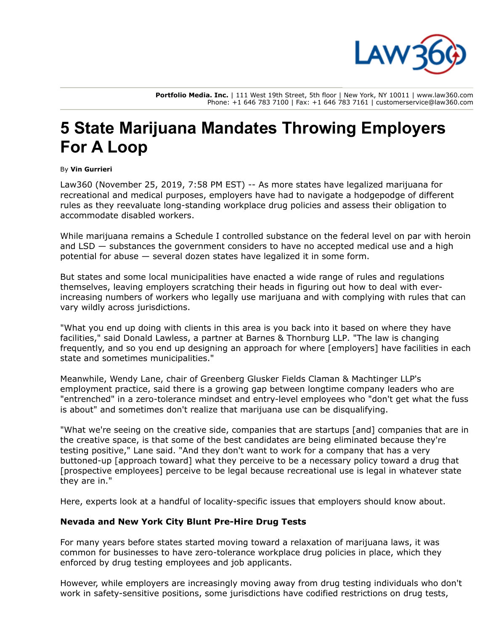

**Portfolio Media. Inc.** | 111 West 19th Street, 5th floor | New York, NY 10011 | www.law360.com Phone: +1 646 783 7100 | Fax: +1 646 783 7161 | customerservice@law360.com

# **5 State Marijuana Mandates Throwing Employers For A Loop**

#### By **Vin Gurrieri**

Law360 (November 25, 2019, 7:58 PM EST) -- As more states have legalized marijuana for recreational and medical purposes, employers have had to navigate a hodgepodge of different rules as they reevaluate long-standing workplace drug policies and assess their obligation to accommodate disabled workers.

While marijuana remains a Schedule I controlled substance on the federal level on par with heroin and LSD — substances the government considers to have no accepted medical use and a high potential for abuse — several dozen states have legalized it in some form.

But states and some local municipalities have enacted a wide range of rules and regulations themselves, leaving employers scratching their heads in figuring out how to deal with everincreasing numbers of workers who legally use marijuana and with complying with rules that can vary wildly across jurisdictions.

"What you end up doing with clients in this area is you back into it based on where they have facilities," said Donald Lawless, a partner at [Barnes & Thornburg LLP.](https://www.law360.com/firms/barnes-thornburg) "The law is changing frequently, and so you end up designing an approach for where [employers] have facilities in each state and sometimes municipalities."

Meanwhile, Wendy Lane, chair of [Greenberg Glusker Fields Claman & Machtinger LLP's](https://www.law360.com/firms/greenberg-glusker) employment practice, said there is a growing gap between longtime company leaders who are "entrenched" in a zero-tolerance mindset and entry-level employees who "don't get what the fuss is about" and sometimes don't realize that marijuana use can be disqualifying.

"What we're seeing on the creative side, companies that are startups [and] companies that are in the creative space, is that some of the best candidates are being eliminated because they're testing positive," Lane said. "And they don't want to work for a company that has a very buttoned-up [approach toward] what they perceive to be a necessary policy toward a drug that [prospective employees] perceive to be legal because recreational use is legal in whatever state they are in."

Here, experts look at a handful of locality-specific issues that employers should know about.

#### **Nevada and New York City Blunt Pre-Hire Drug Tests**

For many years before states started moving toward a relaxation of marijuana laws, it was common for businesses to have zero-tolerance workplace drug policies in place, which they enforced by drug testing employees and job applicants.

However, while employers are increasingly moving away from drug testing individuals who don't work in safety-sensitive positions, some jurisdictions have codified restrictions on drug tests,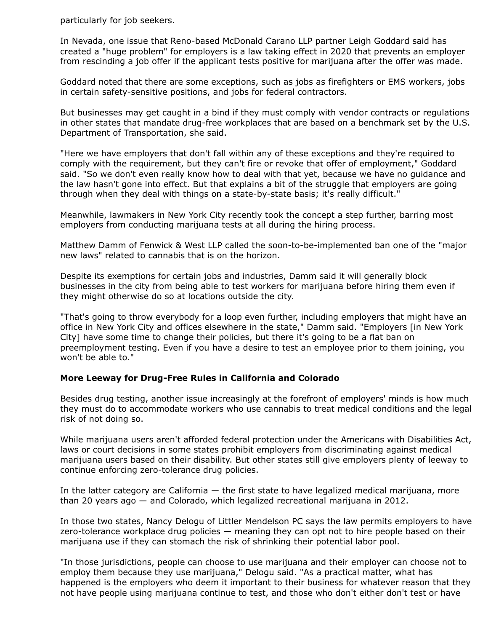particularly for job seekers.

In Nevada, one issue that Reno-based [McDonald Carano LLP](https://www.law360.com/firms/mcdonald-carano) partner Leigh Goddard said has created a "huge problem" for employers is a law taking effect in 2020 that prevents an employer from rescinding a job offer if the applicant tests positive for marijuana after the offer was made.

Goddard noted that there are some exceptions, such as jobs as firefighters or EMS workers, jobs in certain safety-sensitive positions, and jobs for federal contractors.

But businesses may get caught in a bind if they must comply with vendor contracts or regulations [in other states that mandate drug-free workplaces that are based on a benchmark set by the U.S.](https://www.law360.com/agencies/u-s-department-of-transportation) Department of Transportation, she said.

"Here we have employers that don't fall within any of these exceptions and they're required to comply with the requirement, but they can't fire or revoke that offer of employment," Goddard said. "So we don't even really know how to deal with that yet, because we have no guidance and the law hasn't gone into effect. But that explains a bit of the struggle that employers are going through when they deal with things on a state-by-state basis; it's really difficult."

Meanwhile, lawmakers in New York City recently took the concept a step further, barring most employers from conducting marijuana tests at all during the hiring process.

Matthew Damm of [Fenwick & West LLP](https://www.law360.com/firms/fenwick-west) called the soon-to-be-implemented ban one of the "major new laws" related to cannabis that is on the horizon.

Despite its exemptions for certain jobs and industries, Damm said it will generally block businesses in the city from being able to test workers for marijuana before hiring them even if they might otherwise do so at locations outside the city.

"That's going to throw everybody for a loop even further, including employers that might have an office in New York City and offices elsewhere in the state," Damm said. "Employers [in New York City] have some time to change their policies, but there it's going to be a flat ban on preemployment testing. Even if you have a desire to test an employee prior to them joining, you won't be able to."

#### **More Leeway for Drug-Free Rules in California and Colorado**

Besides drug testing, another issue increasingly at the forefront of employers' minds is how much they must do to accommodate workers who use cannabis to treat medical conditions and the legal risk of not doing so.

While marijuana users aren't afforded federal protection under the Americans with Disabilities Act, laws or court decisions in some states prohibit employers from discriminating against medical marijuana users based on their disability. But other states still give employers plenty of leeway to continue enforcing zero-tolerance drug policies.

In the latter category are California  $-$  the first state to have legalized medical marijuana, more than 20 years ago — and Colorado, which legalized recreational marijuana in 2012.

In those two states, Nancy Delogu of [Littler Mendelson PC](https://www.law360.com/firms/littler-mendelson) says the law permits employers to have zero-tolerance workplace drug policies — meaning they can opt not to hire people based on their marijuana use if they can stomach the risk of shrinking their potential labor pool.

"In those jurisdictions, people can choose to use marijuana and their employer can choose not to employ them because they use marijuana," Delogu said. "As a practical matter, what has happened is the employers who deem it important to their business for whatever reason that they not have people using marijuana continue to test, and those who don't either don't test or have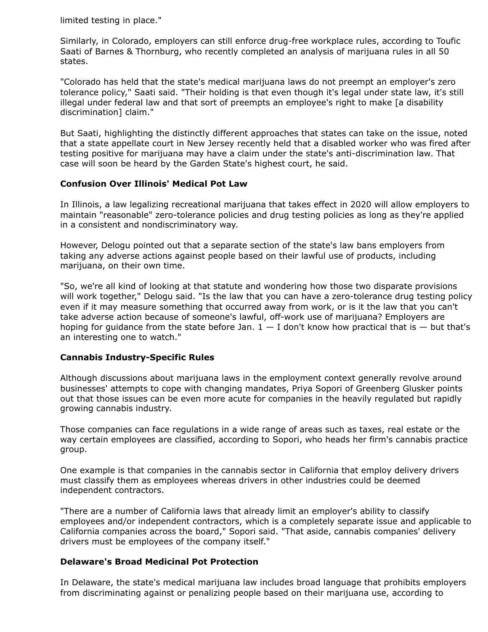limited testing in place."

Similarly, in Colorado, employers can still enforce drug-free workplace rules, according to Toufic Saati of Barnes & Thornburg, who recently completed an analysis of marijuana rules in all 50 states.

"Colorado has held that the state's medical marijuana laws do not preempt an employer's zero tolerance policy," Saati said. "Their holding is that even though it's legal under state law, it's still illegal under federal law and that sort of preempts an employee's right to make [a disability discrimination] claim."

But Saati, highlighting the distinctly different approaches that states can take on the issue, noted that a state appellate court in New Jersey recently held that a disabled worker who was fired after testing positive for marijuana may have a claim under the state's anti-discrimination law. That case will soon be heard by the Garden State's highest court, he said.

### **Confusion Over Illinois' Medical Pot Law**

In Illinois, a law legalizing recreational marijuana that takes effect in 2020 will allow employers to maintain "reasonable" zero-tolerance policies and drug testing policies as long as they're applied in a consistent and nondiscriminatory way.

However, Delogu pointed out that a separate section of the state's law bans employers from taking any adverse actions against people based on their lawful use of products, including marijuana, on their own time.

"So, we're all kind of looking at that statute and wondering how those two disparate provisions will work together," Delogu said. "Is the law that you can have a zero-tolerance drug testing policy even if it may measure something that occurred away from work, or is it the law that you can't take adverse action because of someone's lawful, off-work use of marijuana? Employers are hoping for guidance from the state before Jan.  $1 - I$  don't know how practical that is  $-$  but that's an interesting one to watch."

## **Cannabis Industry-Specific Rules**

Although discussions about marijuana laws in the employment context generally revolve around businesses' attempts to cope with changing mandates, Priya Sopori of Greenberg Glusker points out that those issues can be even more acute for companies in the heavily regulated but rapidly growing cannabis industry.

Those companies can face regulations in a wide range of areas such as taxes, real estate or the way certain employees are classified, according to Sopori, who heads her firm's cannabis practice group.

One example is that companies in the cannabis sector in California that employ delivery drivers must classify them as employees whereas drivers in other industries could be deemed independent contractors.

"There are a number of California laws that already limit an employer's ability to classify employees and/or independent contractors, which is a completely separate issue and applicable to California companies across the board," Sopori said. "That aside, cannabis companies' delivery drivers must be employees of the company itself."

#### **Delaware's Broad Medicinal Pot Protection**

In Delaware, the state's medical marijuana law includes broad language that prohibits employers from discriminating against or penalizing people based on their marijuana use, according to